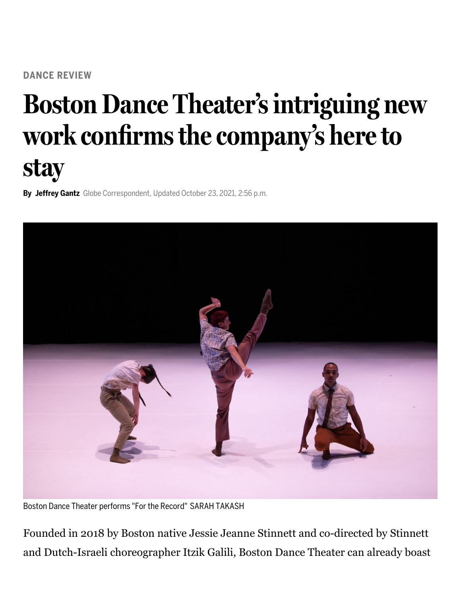## **Boston Dance Theater's intriguing new work confirms the company's here to stay**

**By Jeffrey Gantz** Globe Correspondent, Updated October 23, 2021, 2:56 p.m.



Boston Dance Theater performs "For the Record" SARAH TAKASH

Founded in 2018 by Boston native Jessie Jeanne Stinnett and co-directed by Stinnett and Dutch-Israeli choreographer Itzik Galili, Boston Dance Theater can already boast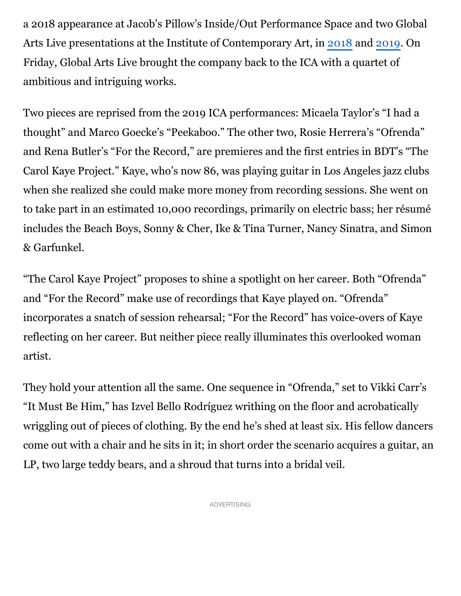a 2018 appearance at Jacob's Pillow's Inside/Out Performance Space and two Global Arts Live presentations at the Institute of Contemporary Art, in [2018](https://www.bostonglobe.com/arts/theater/dance/2018/12/03/boston-dance-theater-makes-impressive-local-debut/dRPIhvNUp2qWrEJ7kQxdmI/story.html?p1=Article_Inline_Text_Link) and [2019](https://www.bostonglobe.com/2019/12/14/arts/premieres-aplenty-boston-dance-theater-program/?p1=Article_Inline_Text_Link). On Friday, Global Arts Live brought the company back to the ICA with a quartet of ambitious and intriguing works.

Two pieces are reprised from the 2019 ICA performances: Micaela Taylor's "I had a thought" and Marco Goecke's "Peekaboo." The other two, Rosie Herrera's "Ofrenda" and Rena Butler's "For the Record," are premieres and the first entries in BDT's "The Carol Kaye Project." Kaye, who's now 86, was playing guitar in Los Angeles jazz clubs when she realized she could make more money from recording sessions. She went on to take part in an estimated 10,000 recordings, primarily on electric bass; her résumé includes the Beach Boys, Sonny & Cher, Ike & Tina Turner, Nancy Sinatra, and Simon & Garfunkel.

"The Carol Kaye Project" proposes to shine a spotlight on her career. Both "Ofrenda" and "For the Record" make use of recordings that Kaye played on. "Ofrenda" incorporates a snatch of session rehearsal; "For the Record" has voice-overs of Kaye reflecting on her career. But neither piece really illuminates this overlooked woman artist.

They hold your attention all the same. One sequence in "Ofrenda," set to Vikki Carr's "It Must Be Him," has Izvel Bello Rodríguez writhing on the floor and acrobatically wriggling out of pieces of clothing. By the end he's shed at least six. His fellow dancers come out with a chair and he sits in it; in short order the scenario acquires a guitar, an LP, two large teddy bears, and a shroud that turns into a bridal veil.

ADVERTISING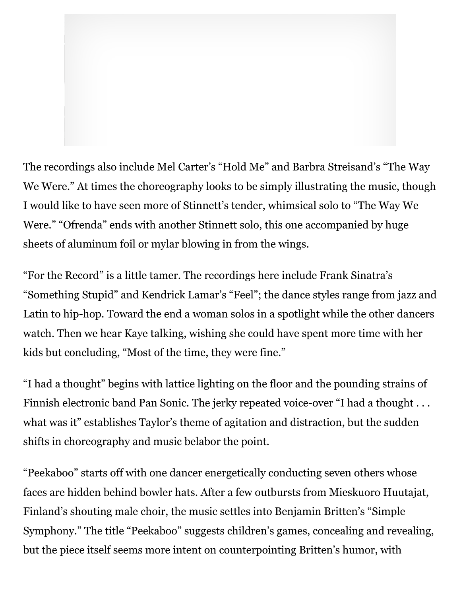

The recordings also include Mel Carter's "Hold Me" and Barbra Streisand's "The Way We Were." At times the choreography looks to be simply illustrating the music, though I would like to have seen more of Stinnett's tender, whimsical solo to "The Way We Were." "Ofrenda" ends with another Stinnett solo, this one accompanied by huge sheets of aluminum foil or mylar blowing in from the wings.

"For the Record" is a little tamer. The recordings here include Frank Sinatra's "Something Stupid" and Kendrick Lamar's "Feel"; the dance styles range from jazz and Latin to hip-hop. Toward the end a woman solos in a spotlight while the other dancers watch. Then we hear Kaye talking, wishing she could have spent more time with her kids but concluding, "Most of the time, they were fine."

"I had a thought" begins with lattice lighting on the floor and the pounding strains of Finnish electronic band Pan Sonic. The jerky repeated voice-over "I had a thought . . . what was it" establishes Taylor's theme of agitation and distraction, but the sudden shifts in choreography and music belabor the point.

"Peekaboo" starts off with one dancer energetically conducting seven others whose faces are hidden behind bowler hats. After a few outbursts from Mieskuoro Huutajat, Finland's shouting male choir, the music settles into Benjamin Britten's "Simple Symphony." The title "Peekaboo" suggests children's games, concealing and revealing, but the piece itself seems more intent on counterpointing Britten's humor, with